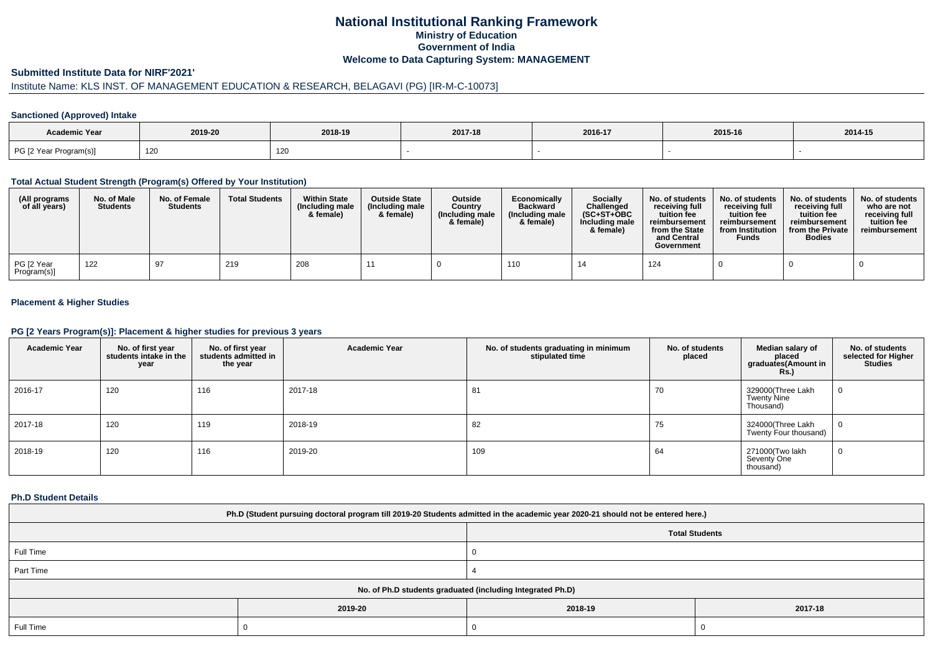# **National Institutional Ranking FrameworkMinistry of Education Government of IndiaWelcome to Data Capturing System: MANAGEMENT**

### **Submitted Institute Data for NIRF'2021'**

# Institute Name: KLS INST. OF MANAGEMENT EDUCATION & RESEARCH, BELAGAVI (PG) [IR-M-C-10073]

## **Sanctioned (Approved) Intake**

| Academic Year          | 2019-20 | 2018-19                 | 2017-18 | 2016-17 | 2015-16 | $2014 - 15$ |
|------------------------|---------|-------------------------|---------|---------|---------|-------------|
| PG [2 Year Program(s)] | 120     | $\overline{A}$<br>نا ∠ا |         |         |         |             |

#### **Total Actual Student Strength (Program(s) Offered by Your Institution)**

| (All programs<br>of all years) | No. of Male<br><b>Students</b> | No. of Female<br><b>Students</b> | <b>Total Students</b> | <b>Within State</b><br>(Including male)<br>& female) | <b>Outside State</b><br>(Including male<br>& female) | Outside<br>Country<br>(Including male)<br>& female) | Economically<br><b>Backward</b><br>(Including male<br>& female) | Socially<br>Challenged<br>$(SC+ST+OBC$<br>Including male<br>& female) | No. of students<br>receiving full<br>tuition fee<br>reimbursement<br>from the State<br>and Central<br>Government | No. of students<br>receiving full<br>tuition fee<br>reimbursement<br>from Institution<br><b>Funds</b> | No. of students<br>receiving full<br>tuition fee<br>reimbursement<br>from the Private<br><b>Bodies</b> | No. of students<br>who are not<br>receiving full<br>tuition fee<br>reimbursement |
|--------------------------------|--------------------------------|----------------------------------|-----------------------|------------------------------------------------------|------------------------------------------------------|-----------------------------------------------------|-----------------------------------------------------------------|-----------------------------------------------------------------------|------------------------------------------------------------------------------------------------------------------|-------------------------------------------------------------------------------------------------------|--------------------------------------------------------------------------------------------------------|----------------------------------------------------------------------------------|
| PG [2 Year<br>Program(s)]      | 122                            | 97                               | 219                   | 208                                                  |                                                      |                                                     | 110                                                             | -14                                                                   | 124                                                                                                              |                                                                                                       |                                                                                                        |                                                                                  |

## **Placement & Higher Studies**

#### **PG [2 Years Program(s)]: Placement & higher studies for previous 3 years**

| <b>Academic Year</b> | No. of first year<br>students intake in the<br>year | No. of first year<br>students admitted in<br>the year | <b>Academic Year</b> | No. of students graduating in minimum<br>stipulated time | No. of students<br>placed | Median salary of<br>placed<br>graduates(Amount in<br><b>Rs.</b> ) | No. of students<br>selected for Higher<br><b>Studies</b> |
|----------------------|-----------------------------------------------------|-------------------------------------------------------|----------------------|----------------------------------------------------------|---------------------------|-------------------------------------------------------------------|----------------------------------------------------------|
| 2016-17              | 120                                                 | 116                                                   | 2017-18              | 81                                                       | 70                        | 329000(Three Lakh<br><b>Twenty Nine</b><br>Thousand)              | 0                                                        |
| 2017-18              | 120                                                 | 119                                                   | 2018-19              | 82                                                       | 75                        | 324000(Three Lakh<br>Twenty Four thousand)                        | $\mathbf 0$                                              |
| 2018-19              | 120                                                 | 116                                                   | 2019-20              | 109                                                      | 64                        | 271000(Two lakh<br>Seventy One<br>thousand)                       | 0                                                        |

#### **Ph.D Student Details**

| Ph.D (Student pursuing doctoral program till 2019-20 Students admitted in the academic year 2020-21 should not be entered here.) |         |                       |         |  |  |  |  |
|----------------------------------------------------------------------------------------------------------------------------------|---------|-----------------------|---------|--|--|--|--|
|                                                                                                                                  |         | <b>Total Students</b> |         |  |  |  |  |
| Full Time                                                                                                                        |         |                       |         |  |  |  |  |
| Part Time                                                                                                                        |         |                       |         |  |  |  |  |
| No. of Ph.D students graduated (including Integrated Ph.D)                                                                       |         |                       |         |  |  |  |  |
|                                                                                                                                  | 2019-20 | 2018-19               | 2017-18 |  |  |  |  |
| Full Time                                                                                                                        |         |                       |         |  |  |  |  |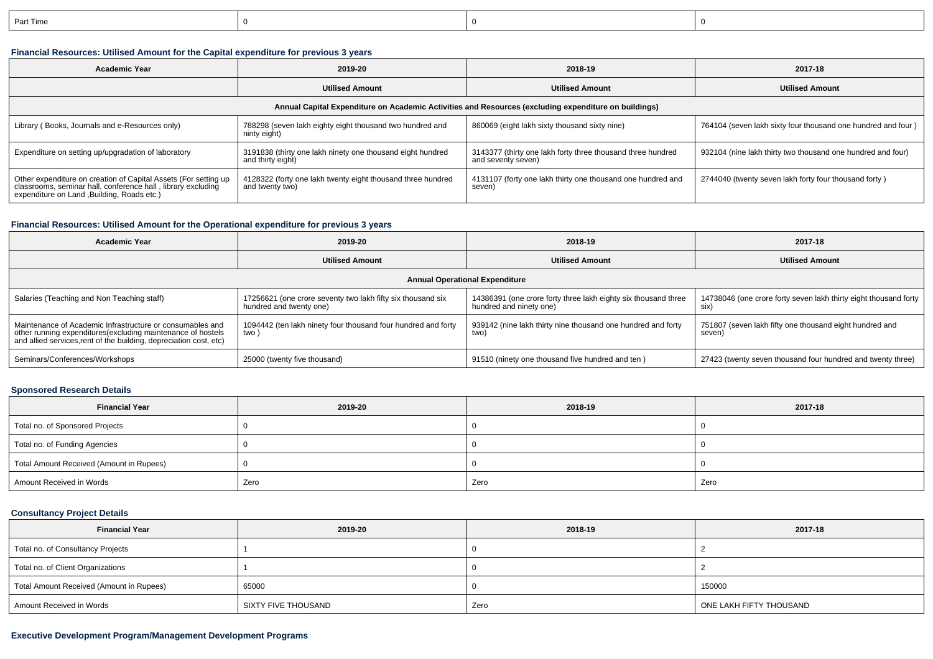| Part Time |  |  |
|-----------|--|--|
|           |  |  |

# **Financial Resources: Utilised Amount for the Capital expenditure for previous 3 years**

| <b>Academic Year</b>                                                                                                                                                           | 2019-20                                                                         | 2018-19                                                                           | 2017-18                                                      |  |  |  |  |  |
|--------------------------------------------------------------------------------------------------------------------------------------------------------------------------------|---------------------------------------------------------------------------------|-----------------------------------------------------------------------------------|--------------------------------------------------------------|--|--|--|--|--|
|                                                                                                                                                                                | <b>Utilised Amount</b>                                                          |                                                                                   | <b>Utilised Amount</b>                                       |  |  |  |  |  |
| Annual Capital Expenditure on Academic Activities and Resources (excluding expenditure on buildings)                                                                           |                                                                                 |                                                                                   |                                                              |  |  |  |  |  |
| Library (Books, Journals and e-Resources only)                                                                                                                                 | 788298 (seven lakh eighty eight thousand two hundred and<br>ninty eight)        | 860069 (eight lakh sixty thousand sixty nine)                                     | 764104 (seven lakh sixty four thousand one hundred and four) |  |  |  |  |  |
| Expenditure on setting up/upgradation of laboratory                                                                                                                            | 3191838 (thirty one lakh ninety one thousand eight hundred<br>and thirty eight) | 3143377 (thirty one lakh forty three thousand three hundred<br>and seventy seven) | 932104 (nine lakh thirty two thousand one hundred and four)  |  |  |  |  |  |
| Other expenditure on creation of Capital Assets (For setting up<br>classrooms, seminar hall, conference hall, library excluding<br>expenditure on Land , Building, Roads etc.) | 4128322 (forty one lakh twenty eight thousand three hundred<br>and twenty two)  | 4131107 (forty one lakh thirty one thousand one hundred and<br>seven)             | 2744040 (twenty seven lakh forty four thousand forty)        |  |  |  |  |  |

## **Financial Resources: Utilised Amount for the Operational expenditure for previous 3 years**

| <b>Academic Year</b>                                                                                                                                                                            | 2019-20                                                                                | 2018-19                                                                                   | 2017-18                                                                    |  |  |  |  |  |
|-------------------------------------------------------------------------------------------------------------------------------------------------------------------------------------------------|----------------------------------------------------------------------------------------|-------------------------------------------------------------------------------------------|----------------------------------------------------------------------------|--|--|--|--|--|
|                                                                                                                                                                                                 | <b>Utilised Amount</b>                                                                 | <b>Utilised Amount</b>                                                                    | <b>Utilised Amount</b>                                                     |  |  |  |  |  |
| <b>Annual Operational Expenditure</b>                                                                                                                                                           |                                                                                        |                                                                                           |                                                                            |  |  |  |  |  |
| Salaries (Teaching and Non Teaching staff)                                                                                                                                                      | 17256621 (one crore seventy two lakh fifty six thousand six<br>hundred and twenty one) | 14386391 (one crore forty three lakh eighty six thousand three<br>hundred and ninety one) | 14738046 (one crore forty seven lakh thirty eight thousand forty  <br>SIX) |  |  |  |  |  |
| Maintenance of Academic Infrastructure or consumables and<br>other running expenditures (excluding maintenance of hostels<br>and allied services, rent of the building, depreciation cost, etc) | 1094442 (ten lakh ninety four thousand four hundred and forty<br>two )                 | 939142 (nine lakh thirty nine thousand one hundred and forty<br>two)                      | 751807 (seven lakh fifty one thousand eight hundred and<br>seven)          |  |  |  |  |  |
| Seminars/Conferences/Workshops                                                                                                                                                                  | 25000 (twenty five thousand)                                                           | 91510 (ninety one thousand five hundred and ten)                                          | 27423 (twenty seven thousand four hundred and twenty three)                |  |  |  |  |  |

# **Sponsored Research Details**

| <b>Financial Year</b>                    | 2019-20 | 2018-19 | 2017-18 |  |
|------------------------------------------|---------|---------|---------|--|
| Total no. of Sponsored Projects          |         |         |         |  |
| Total no. of Funding Agencies            |         |         |         |  |
| Total Amount Received (Amount in Rupees) |         |         |         |  |
| Amount Received in Words                 | Zero    | Zero    | Zero    |  |

## **Consultancy Project Details**

| <b>Financial Year</b>                    | 2019-20             | 2018-19 | 2017-18                 |
|------------------------------------------|---------------------|---------|-------------------------|
| Total no. of Consultancy Projects        |                     |         |                         |
| Total no. of Client Organizations        |                     |         |                         |
| Total Amount Received (Amount in Rupees) | 65000               |         | 150000                  |
| Amount Received in Words                 | SIXTY FIVE THOUSAND | Zero    | ONE LAKH FIFTY THOUSAND |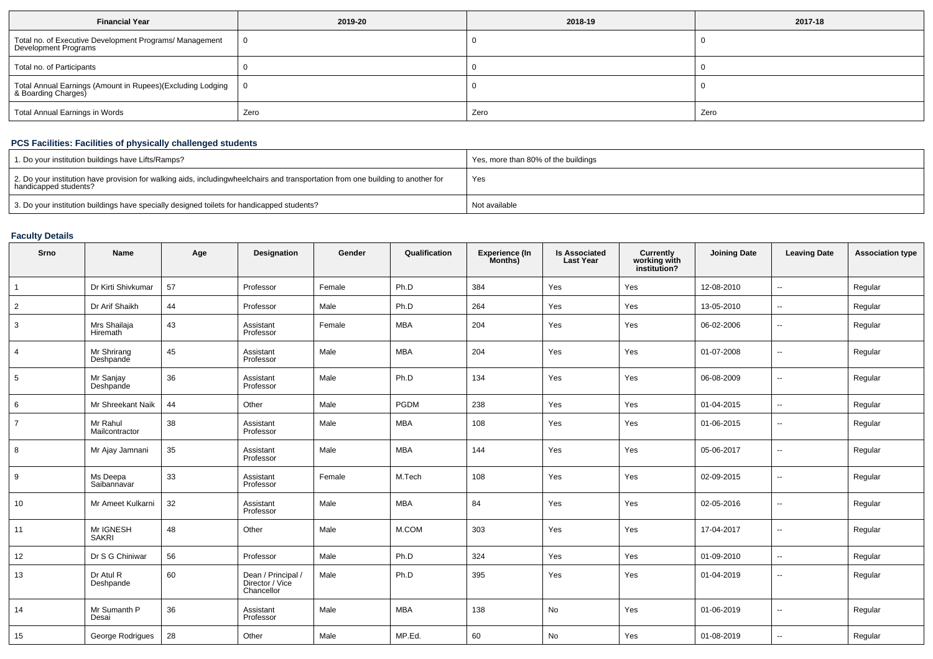| <b>Financial Year</b>                                                             | 2019-20 | 2018-19 | 2017-18 |
|-----------------------------------------------------------------------------------|---------|---------|---------|
| Total no. of Executive Development Programs/ Management<br>Development Programs   |         |         |         |
| Total no. of Participants                                                         |         |         |         |
| Total Annual Earnings (Amount in Rupees)(Excluding Lodging<br>& Boarding Charges) |         |         |         |
| Total Annual Earnings in Words                                                    | Zero    | Zero    | Zero    |

# **PCS Facilities: Facilities of physically challenged students**

| 1. Do your institution buildings have Lifts/Ramps?                                                                                                        | Yes, more than 80% of the buildings |
|-----------------------------------------------------------------------------------------------------------------------------------------------------------|-------------------------------------|
| 2. Do your institution have provision for walking aids, includingwheelchairs and transportation from one building to another for<br>handicapped students? | Yes                                 |
| 3. Do your institution buildings have specially designed toilets for handicapped students?                                                                | Not available                       |

# **Faculty Details**

| Srno           | <b>Name</b>                | Age | Designation                                         | Gender | Qualification | <b>Experience (In</b><br>Months) | <b>Is Associated</b><br><b>Last Year</b> | Currently<br>working with<br>institution? | <b>Joining Date</b> | <b>Leaving Date</b>      | <b>Association type</b> |
|----------------|----------------------------|-----|-----------------------------------------------------|--------|---------------|----------------------------------|------------------------------------------|-------------------------------------------|---------------------|--------------------------|-------------------------|
| $\overline{1}$ | Dr Kirti Shivkumar         | 57  | Professor                                           | Female | Ph.D          | 384                              | Yes                                      | Yes                                       | 12-08-2010          | $\overline{\phantom{a}}$ | Regular                 |
| $\overline{2}$ | Dr Arif Shaikh             | 44  | Professor                                           | Male   | Ph.D          | 264                              | Yes                                      | Yes                                       | 13-05-2010          | $\overline{\phantom{a}}$ | Regular                 |
| 3              | Mrs Shailaja<br>Hiremath   | 43  | Assistant<br>Professor                              | Female | <b>MBA</b>    | 204                              | Yes                                      | Yes                                       | 06-02-2006          | $\sim$                   | Regular                 |
| 4              | Mr Shrirang<br>Deshpande   | 45  | Assistant<br>Professor                              | Male   | <b>MBA</b>    | 204                              | Yes                                      | Yes                                       | 01-07-2008          | $\overline{\phantom{a}}$ | Regular                 |
| 5              | Mr Sanjay<br>Deshpande     | 36  | Assistant<br>Professor                              | Male   | Ph.D          | 134                              | Yes                                      | Yes                                       | 06-08-2009          | $\overline{\phantom{a}}$ | Regular                 |
| 6              | Mr Shreekant Naik          | 44  | Other                                               | Male   | PGDM          | 238                              | Yes                                      | Yes                                       | 01-04-2015          | $\sim$                   | Regular                 |
| $\overline{7}$ | Mr Rahul<br>Mailcontractor | 38  | Assistant<br>Professor                              | Male   | MBA           | 108                              | Yes                                      | Yes                                       | 01-06-2015          | $\overline{\phantom{a}}$ | Regular                 |
| 8              | Mr Ajay Jamnani            | 35  | Assistant<br>Professor                              | Male   | <b>MBA</b>    | 144                              | Yes                                      | Yes                                       | 05-06-2017          | $\overline{\phantom{a}}$ | Regular                 |
| 9              | Ms Deepa<br>Saibannavar    | 33  | Assistant<br>Professor                              | Female | M.Tech        | 108                              | Yes                                      | Yes                                       | 02-09-2015          | $\sim$                   | Regular                 |
| 10             | Mr Ameet Kulkarni          | 32  | Assistant<br>Professor                              | Male   | MBA           | 84                               | Yes                                      | Yes                                       | 02-05-2016          | --                       | Regular                 |
| 11             | Mr IGNESH<br><b>SAKRI</b>  | 48  | Other                                               | Male   | M.COM         | 303                              | Yes                                      | Yes                                       | 17-04-2017          | $\overline{\phantom{a}}$ | Regular                 |
| 12             | Dr S G Chiniwar            | 56  | Professor                                           | Male   | Ph.D          | 324                              | Yes                                      | Yes                                       | 01-09-2010          | --                       | Regular                 |
| 13             | Dr Atul R<br>Deshpande     | 60  | Dean / Principal /<br>Director / Vice<br>Chancellor | Male   | Ph.D          | 395                              | Yes                                      | Yes                                       | 01-04-2019          | $\overline{\phantom{a}}$ | Regular                 |
| 14             | Mr Sumanth P<br>Desai      | 36  | Assistant<br>Professor                              | Male   | MBA           | 138                              | No                                       | Yes                                       | 01-06-2019          | $\overline{\phantom{a}}$ | Regular                 |
| 15             | George Rodrigues           | 28  | Other                                               | Male   | MP.Ed.        | 60                               | No                                       | Yes                                       | 01-08-2019          | $\overline{\phantom{a}}$ | Regular                 |